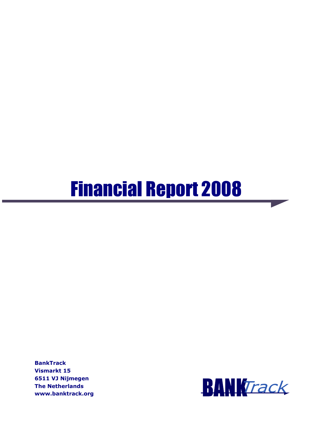# Financial Report 2008

**BankTrack** Vismarkt 15 6511 VJ Nijmegen The Netherlands www.banktrack.org

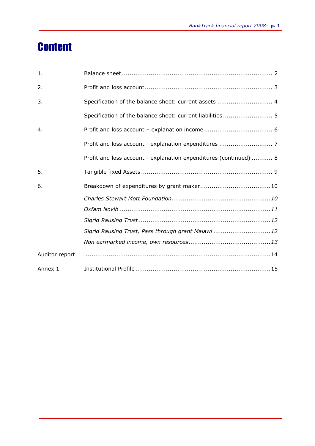### **Content**

| 1.             |                                                                   |
|----------------|-------------------------------------------------------------------|
| 2.             |                                                                   |
| 3.             | Specification of the balance sheet: current assets  4             |
|                | Specification of the balance sheet: current liabilities 5         |
| 4.             |                                                                   |
|                |                                                                   |
|                | Profit and loss account - explanation expenditures (continued)  8 |
| 5.             |                                                                   |
| 6.             |                                                                   |
|                |                                                                   |
|                |                                                                   |
|                |                                                                   |
|                | Sigrid Rausing Trust, Pass through grant Malawi 12                |
|                |                                                                   |
| Auditor report |                                                                   |
| Annex 1        |                                                                   |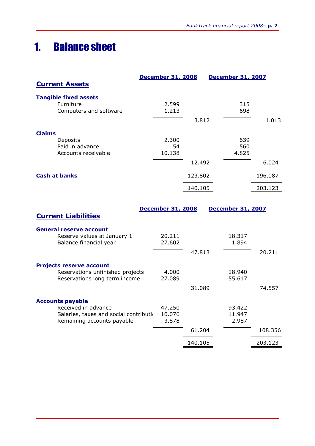### 1. Balance sheet

|                                                                                                                        | <b>December 31, 2008</b>  |         | <b>December 31, 2007</b>  |         |
|------------------------------------------------------------------------------------------------------------------------|---------------------------|---------|---------------------------|---------|
| <b>Current Assets</b>                                                                                                  |                           |         |                           |         |
| <b>Tangible fixed assets</b><br>Furniture<br>Computers and software                                                    | 2.599<br>1.213            |         | 315<br>698                |         |
|                                                                                                                        |                           | 3.812   |                           | 1.013   |
| <b>Claims</b><br>Deposits<br>Paid in advance<br>Accounts receivable                                                    | 2.300<br>54<br>10.138     |         | 639<br>560<br>4.825       |         |
|                                                                                                                        |                           | 12.492  |                           | 6.024   |
| <b>Cash at banks</b>                                                                                                   |                           | 123.802 |                           | 196.087 |
|                                                                                                                        |                           | 140.105 |                           | 203.123 |
| <b>Current Liabilities</b>                                                                                             | <b>December 31, 2008</b>  |         | <b>December 31, 2007</b>  |         |
| <b>General reserve account</b><br>Reserve values at January 1<br>Balance financial year                                | 20.211<br>27.602          |         | 18.317<br>1.894           |         |
|                                                                                                                        |                           | 47.813  |                           | 20.211  |
| <b>Projects reserve account</b><br>Reservations unfinished projects<br>Reservations long term income                   | 4.000<br>27.089           |         | 18.940<br>55.617          |         |
|                                                                                                                        |                           | 31.089  |                           | 74.557  |
| <b>Accounts payable</b><br>Received in advance<br>Salaries, taxes and social contributio<br>Remaining accounts payable | 47.250<br>10.076<br>3.878 |         | 93.422<br>11.947<br>2.987 |         |
|                                                                                                                        |                           | 61.204  |                           | 108.356 |
|                                                                                                                        |                           | 140.105 |                           | 203.123 |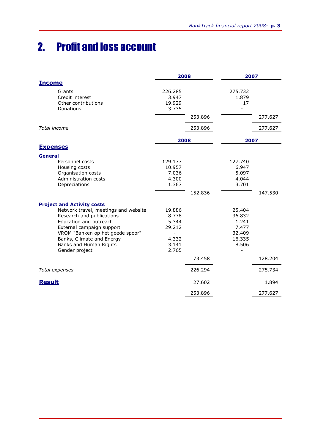## 2. Profit and loss account

|                                                                                                                                                                                                                                       | 2008                                                          |         | 2007                                                            |         |
|---------------------------------------------------------------------------------------------------------------------------------------------------------------------------------------------------------------------------------------|---------------------------------------------------------------|---------|-----------------------------------------------------------------|---------|
| <b>Income</b>                                                                                                                                                                                                                         |                                                               |         |                                                                 |         |
| Grants<br>Credit interest<br>Other contributions<br>Donations                                                                                                                                                                         | 226.285<br>3.947<br>19.929<br>3.735                           |         | 275.732<br>1.879<br>17                                          |         |
|                                                                                                                                                                                                                                       |                                                               | 253.896 |                                                                 | 277.627 |
| Total income                                                                                                                                                                                                                          |                                                               | 253.896 |                                                                 | 277.627 |
|                                                                                                                                                                                                                                       | 2008                                                          |         | 2007                                                            |         |
| <b>Expenses</b>                                                                                                                                                                                                                       |                                                               |         |                                                                 |         |
| <b>General</b><br>Personnel costs<br>Housing costs<br>Organisation costs                                                                                                                                                              | 129.177<br>10.957<br>7.036                                    |         | 127.740<br>6.947<br>5.097                                       |         |
| Administration costs<br>Depreciations                                                                                                                                                                                                 | 4.300<br>1.367                                                | 152.836 | 4.044<br>3.701                                                  | 147.530 |
| <b>Project and Activity costs</b>                                                                                                                                                                                                     |                                                               |         |                                                                 |         |
| Network travel, meetings and website<br>Research and publications<br>Education and outreach<br>External campaign support<br>VROM "Banken op het goede spoor"<br>Banks, Climate and Energy<br>Banks and Human Rights<br>Gender project | 19.886<br>8.778<br>5.344<br>29.212<br>4.332<br>3.141<br>2.765 |         | 25.404<br>36.832<br>1.241<br>7.477<br>32.409<br>16.335<br>8.506 |         |
|                                                                                                                                                                                                                                       |                                                               | 73.458  |                                                                 | 128.204 |
| Total expenses                                                                                                                                                                                                                        |                                                               | 226.294 |                                                                 | 275.734 |
| <b>Result</b>                                                                                                                                                                                                                         |                                                               | 27.602  |                                                                 | 1.894   |
|                                                                                                                                                                                                                                       |                                                               | 253.896 |                                                                 | 277.627 |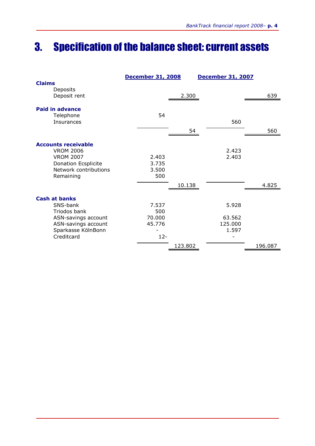### 3. Specification of the balance sheet: current assets

|                            | <b>December 31, 2008</b> |         | <b>December 31, 2007</b> |         |
|----------------------------|--------------------------|---------|--------------------------|---------|
| <b>Claims</b>              |                          |         |                          |         |
| Deposits                   |                          |         |                          |         |
| Deposit rent               |                          | 2.300   |                          | 639     |
| <b>Paid in advance</b>     |                          |         |                          |         |
| Telephone                  | 54                       |         |                          |         |
| <b>Insurances</b>          |                          |         | 560                      |         |
|                            |                          |         |                          |         |
|                            |                          | 54      |                          | 560     |
| <b>Accounts receivable</b> |                          |         |                          |         |
| <b>VROM 2006</b>           |                          |         | 2.423                    |         |
| <b>VROM 2007</b>           | 2.403                    |         | 2.403                    |         |
| <b>Donation Ecsplicite</b> | 3.735                    |         |                          |         |
| Network contributions      | 3.500                    |         |                          |         |
| Remaining                  | 500                      |         |                          |         |
|                            |                          | 10.138  |                          | 4.825   |
|                            |                          |         |                          |         |
| <b>Cash at banks</b>       |                          |         |                          |         |
| SNS-bank                   | 7.537                    |         | 5.928                    |         |
| Triodos bank               | 500                      |         |                          |         |
| ASN-savings account        | 70,000                   |         | 63.562                   |         |
| ASN-savings account        | 45.776                   |         | 125.000                  |         |
| Sparkasse KölnBonn         |                          |         | 1.597                    |         |
| Creditcard                 | $12 -$                   |         |                          |         |
|                            |                          | 123.802 |                          | 196.087 |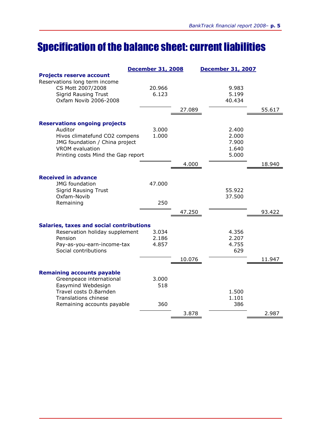### Specification of the balance sheet: current liabilities

|                                                                  | <b>December 31, 2008</b> |        | <b>December 31, 2007</b> |        |
|------------------------------------------------------------------|--------------------------|--------|--------------------------|--------|
| <b>Projects reserve account</b><br>Reservations long term income |                          |        |                          |        |
| CS Mott 2007/2008                                                | 20.966                   |        | 9.983                    |        |
| <b>Sigrid Rausing Trust</b><br>Oxfam Novib 2006-2008             | 6.123                    |        | 5.199<br>40.434          |        |
|                                                                  |                          |        |                          |        |
|                                                                  |                          | 27.089 |                          | 55.617 |
| <b>Reservations ongoing projects</b>                             |                          |        |                          |        |
| Auditor                                                          | 3.000                    |        | 2.400                    |        |
| Hivos climatefund CO2 compens                                    | 1.000                    |        | 2.000                    |        |
| JMG foundation / China project<br><b>VROM</b> evaluation         |                          |        | 7.900<br>1.640           |        |
| Printing costs Mind the Gap report                               |                          |        | 5.000                    |        |
|                                                                  |                          | 4.000  |                          | 18.940 |
|                                                                  |                          |        |                          |        |
| <b>Received in advance</b>                                       |                          |        |                          |        |
| <b>JMG</b> foundation                                            | 47.000                   |        |                          |        |
| <b>Sigrid Rausing Trust</b><br>Oxfam-Novib                       |                          |        | 55.922<br>37.500         |        |
| Remaining                                                        | 250                      |        |                          |        |
|                                                                  |                          | 47.250 |                          | 93.422 |
|                                                                  |                          |        |                          |        |
| <b>Salaries, taxes and social contributions</b>                  |                          |        |                          |        |
| Reservation holiday supplement                                   | 3.034                    |        | 4.356                    |        |
| Pension                                                          | 2.186<br>4.857           |        | 2.207<br>4.755           |        |
| Pay-as-you-earn-income-tax<br>Social contributions               |                          |        | 629                      |        |
|                                                                  |                          | 10.076 |                          | 11.947 |
|                                                                  |                          |        |                          |        |
| <b>Remaining accounts payable</b>                                |                          |        |                          |        |
| Greenpeace international                                         | 3.000                    |        |                          |        |
| Easymind Webdesign<br>Travel costs D.Barnden                     | 518                      |        | 1.500                    |        |
| <b>Translations chinese</b>                                      |                          |        | 1.101                    |        |
| Remaining accounts payable                                       | 360                      |        | 386                      |        |
|                                                                  |                          | 3.878  |                          | 2.987  |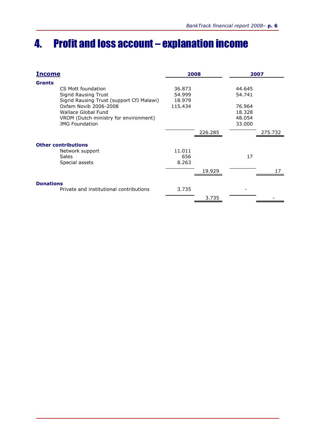### 4. Profit and loss account – explanation income

| <u>Income</u>                             |         | 2008    |        | 2007    |
|-------------------------------------------|---------|---------|--------|---------|
| <b>Grants</b>                             |         |         |        |         |
| CS Mott foundation                        | 36.873  |         | 44.645 |         |
| <b>Sigrid Rausing Trust</b>               | 54.999  |         | 54.741 |         |
| Sigrid Rausing Trust (support CfJ Malawi) | 18.979  |         |        |         |
| Oxfam Novib 2006-2008                     | 115.434 |         | 76.964 |         |
| Wallace Global Fund                       |         |         | 18.328 |         |
| VROM (Dutch ministry for environment)     |         |         | 48.054 |         |
| <b>JMG Foundation</b>                     |         |         | 33.000 |         |
|                                           |         | 226.285 |        | 275.732 |
| <b>Other contributions</b>                |         |         |        |         |
| Network support                           | 11.011  |         |        |         |
| <b>Sales</b>                              | 656     |         | 17     |         |
| Special assets                            | 8.263   |         |        |         |
|                                           |         | 19.929  |        |         |
| <b>Donations</b>                          |         |         |        |         |
| Private and institutional contributions   | 3.735   |         |        |         |
|                                           |         | 3.735   |        |         |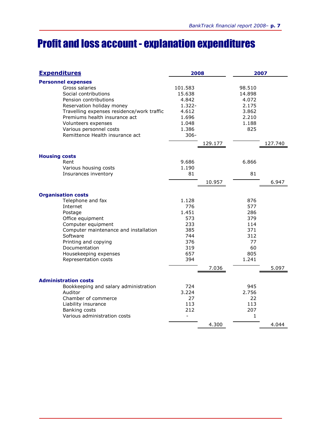### Profit and loss account - explanation expenditures

| <b>Expenditures</b>                                                                                                                                                                                                                                                                           | 2008                                                                                   |         | 2007                                                                      |         |
|-----------------------------------------------------------------------------------------------------------------------------------------------------------------------------------------------------------------------------------------------------------------------------------------------|----------------------------------------------------------------------------------------|---------|---------------------------------------------------------------------------|---------|
| <b>Personnel expenses</b><br>Gross salaries<br>Social contributions<br>Pension contributions<br>Reservation holiday money<br>Travelling expenses residence/work traffic<br>Premiums health insurance act<br>Volunteers expenses<br>Various personnel costs<br>Remittence Health insurance act | 101.583<br>15.638<br>4.842<br>$1.322 -$<br>4.612<br>1.696<br>1.048<br>1.386<br>$306 -$ | 129.177 | 98.510<br>14.898<br>4.072<br>2.175<br>3.862<br>2.210<br>1.188<br>825      | 127.740 |
| <b>Housing costs</b><br>Rent<br>Various housing costs<br>Insurances inventory                                                                                                                                                                                                                 | 9.686<br>1.190<br>81                                                                   | 10.957  | 6.866<br>81                                                               | 6.947   |
| <b>Organisation costs</b><br>Telephone and fax<br>Internet<br>Postage<br>Office equipment<br>Computer equipment<br>Computer maintenance and installation<br>Software<br>Printing and copying<br>Documentation<br>Housekeeping expenses<br>Representation costs                                | 1.128<br>776<br>1.451<br>573<br>233<br>385<br>744<br>376<br>319<br>657<br>394          | 7.036   | 876<br>577<br>286<br>379<br>114<br>371<br>312<br>77<br>60<br>805<br>1.241 | 5.097   |
| <b>Administration costs</b><br>Bookkeeping and salary administration<br>Auditor<br>Chamber of commerce<br>Liability insurance<br>Banking costs<br>Various administration costs                                                                                                                | 724<br>3.224<br>27<br>113<br>212                                                       | 4.300   | 945<br>2.756<br>22<br>113<br>207<br>1                                     | 4.044   |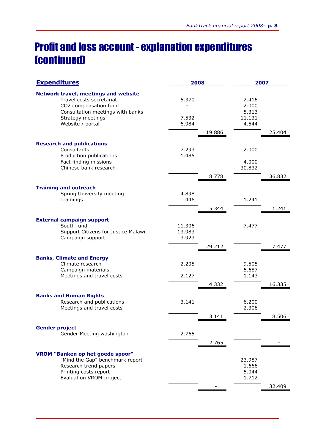### Profit and loss account - explanation expenditures (continued)

| <b>Expenditures</b>                                                                                                                                                           | 2008                      |        | 2007                                       |        |
|-------------------------------------------------------------------------------------------------------------------------------------------------------------------------------|---------------------------|--------|--------------------------------------------|--------|
| <b>Network travel, meetings and website</b><br>Travel costs secretariat<br>CO2 compensation fund<br>Consultation meetings with banks<br>Strategy meetings<br>Website / portal | 5.370<br>7.532<br>6.984   | 19.886 | 2.416<br>2.000<br>5.313<br>11.131<br>4.544 | 25.404 |
|                                                                                                                                                                               |                           |        |                                            |        |
| <b>Research and publications</b><br>Consultants<br>Production publications<br>Fact finding missions<br>Chinese bank research                                                  | 7.293<br>1.485            |        | 2.000<br>4.000<br>30.832                   |        |
|                                                                                                                                                                               |                           | 8.778  |                                            | 36.832 |
| <b>Training and outreach</b><br>Spring University meeting<br>Trainings                                                                                                        | 4.898<br>446              | 5.344  | 1.241                                      | 1.241  |
|                                                                                                                                                                               |                           |        |                                            |        |
| <b>External campaign support</b><br>South fund<br>Support Citizens for Justice Malawi<br>Campaign support                                                                     | 11.306<br>13.983<br>3.923 |        | 7.477                                      |        |
|                                                                                                                                                                               |                           | 29.212 |                                            | 7.477  |
| <b>Banks, Climate and Energy</b><br>Climate research<br>Campaign materials                                                                                                    | 2.205                     |        | 9.505<br>5.687                             |        |
| Meetings and travel costs                                                                                                                                                     | 2.127                     | 4.332  | 1.143                                      | 16.335 |
| <b>Banks and Human Rights</b><br>Research and publications<br>Meetings and travel costs                                                                                       | 3.141                     |        | 6.200<br>2.306                             |        |
|                                                                                                                                                                               |                           | 3.141  |                                            | 8.506  |
| <b>Gender project</b><br>Gender Meeting washington                                                                                                                            | 2.765                     | 2.765  |                                            |        |
| <b>VROM "Banken op het goede spoor"</b><br>"Mind the Gap" benchmark report<br>Research trend papers<br>Printing costs report<br><b>Evaluation VROM-project</b>                |                           |        | 23.987<br>1.666<br>5.044<br>1.712          | 32.409 |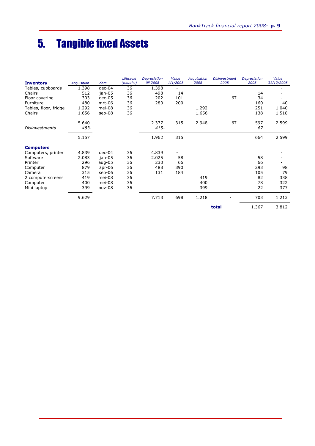### 5. Tangible fixed Assets

|                       |                    |          | Lifecycle | <b>Depreciation</b> | Value    | <b>Acquisation</b> | <b>Disinvestment</b> | <b>Depreciation</b> | Value      |
|-----------------------|--------------------|----------|-----------|---------------------|----------|--------------------|----------------------|---------------------|------------|
| <b>Inventory</b>      | <b>Acquisition</b> | date     | (months)  | till 2008           | 1/1/2008 | 2008               | 2008                 | 2008                | 31/12/2008 |
| Tables, cupboards     | 1.398              | $dec-04$ | 36        | 1.398               |          |                    |                      |                     |            |
| Chairs                | 512                | jan-05   | 36        | 498                 | 14       |                    |                      | 14                  |            |
| Floor covering        | 303                | $dec-05$ | 36        | 202                 | 101      |                    | 67                   | 34                  |            |
| Furniture             | 480                | $mrt-06$ | 36        | 280                 | 200      |                    |                      | 160                 | 40         |
| Tables, floor, fridge | 1.292              | mei-08   | 36        |                     |          | 1.292              |                      | 251                 | 1.040      |
| Chairs                | 1.656              | sep-08   | 36        |                     |          | 1.656              |                      | 138                 | 1.518      |
|                       | 5.640              |          |           | 2.377               | 315      | 2.948              | 67                   | 597                 | 2.599      |
| <b>Disinvestments</b> | 483-               |          |           | $415 -$             |          |                    |                      | 67                  |            |
|                       | 5.157              |          |           | 1.962               | 315      |                    |                      | 664                 | 2.599      |
| <b>Computers</b>      |                    |          |           |                     |          |                    |                      |                     |            |
| Computers, printer    | 4.839              | $dec-04$ | 36        | 4.839               |          |                    |                      |                     |            |
| Software              | 2.083              | jan-05   | 36        | 2.025               | 58       |                    |                      | 58                  |            |
| Printer               | 296                | $aug-05$ | 36        | 230                 | 66       |                    |                      | 66                  |            |
| Computer              | 879                | $apr-06$ | 36        | 488                 | 390      |                    |                      | 293                 | 98         |
| Camera                | 315                | $sep-06$ | 36        | 131                 | 184      |                    |                      | 105                 | 79         |
| 2 computerscreens     | 419                | mei-08   | 36        |                     |          | 419                |                      | 82                  | 338        |
| Computer              | 400                | mei-08   | 36        |                     |          | 400                |                      | 78                  | 322        |
| Mini laptop           | 399                | nov-08   | 36        |                     |          | 399                |                      | 22                  | 377        |
|                       | 9.629              |          |           | 7.713               | 698      | 1.218              |                      | 703                 | 1.213      |
|                       |                    |          |           |                     |          |                    | total                | 1.367               | 3.812      |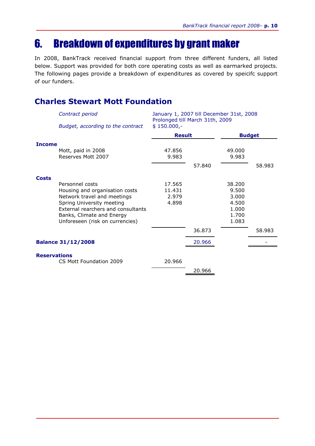### 6. Breakdown of expenditures by grant maker

In 2008, BankTrack received financial support from three different funders, all listed below. Support was provided for both core operating costs as well as earmarked projects. The following pages provide a breakdown of expenditures as covered by speicifc support of our funders.

#### Charles Stewart Mott Foundation

|                     | Contract period                                                 | January 1, 2007 till December 31st, 2008<br>Prolonged till March 31th, 2009 |        |                |               |
|---------------------|-----------------------------------------------------------------|-----------------------------------------------------------------------------|--------|----------------|---------------|
|                     | Budget, according to the contract                               | $$150.000,-$                                                                |        |                |               |
|                     |                                                                 | <b>Result</b>                                                               |        |                | <b>Budget</b> |
| <b>Income</b>       |                                                                 |                                                                             |        |                |               |
|                     | Mott, paid in 2008                                              | 47.856                                                                      |        | 49,000         |               |
|                     | Reserves Mott 2007                                              | 9.983                                                                       |        | 9.983          |               |
|                     |                                                                 |                                                                             | 57.840 |                | 58,983        |
| <b>Costs</b>        |                                                                 |                                                                             |        |                |               |
|                     | Personnel costs                                                 | 17.565                                                                      |        | 38.200         |               |
|                     | Housing and organisation costs                                  | 11.431                                                                      |        | 9.500          |               |
|                     | Network travel and meetings                                     | 2.979                                                                       |        | 3.000          |               |
|                     | Spring University meeting<br>External rearchers and consultants | 4.898                                                                       |        | 4.500          |               |
|                     | Banks, Climate and Energy                                       |                                                                             |        | 1.000<br>1.700 |               |
|                     | Unforeseen (risk on currencies)                                 |                                                                             |        | 1.083          |               |
|                     |                                                                 |                                                                             | 36.873 |                | 58.983        |
|                     | <b>Balance 31/12/2008</b>                                       |                                                                             | 20.966 |                |               |
|                     |                                                                 |                                                                             |        |                |               |
| <b>Reservations</b> | CS Mott Foundation 2009                                         | 20.966                                                                      |        |                |               |
|                     |                                                                 |                                                                             |        |                |               |
|                     |                                                                 |                                                                             | 20.966 |                |               |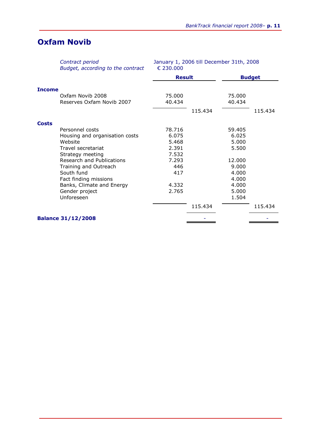#### Oxfam Novib

|               | Contract period<br>Budget, according to the contract | January 1, 2006 till December 31th, 2008<br>€ 230.000 |         |        |               |  |
|---------------|------------------------------------------------------|-------------------------------------------------------|---------|--------|---------------|--|
|               |                                                      | <b>Result</b>                                         |         |        | <b>Budget</b> |  |
| <b>Income</b> |                                                      |                                                       |         |        |               |  |
|               | Oxfam Novib 2008                                     | 75.000                                                |         | 75,000 |               |  |
|               | Reserves Oxfam Novib 2007                            | 40.434                                                |         | 40.434 |               |  |
|               |                                                      |                                                       | 115.434 |        | 115.434       |  |
| <b>Costs</b>  |                                                      |                                                       |         |        |               |  |
|               | Personnel costs                                      | 78.716                                                |         | 59.405 |               |  |
|               | Housing and organisation costs                       | 6.075                                                 |         | 6.025  |               |  |
|               | Website                                              | 5.468                                                 |         | 5.000  |               |  |
|               | Travel secretariat                                   | 2.391                                                 |         | 5.500  |               |  |
|               | Strategy meeting                                     | 7.532                                                 |         |        |               |  |
|               | Research and Publications                            | 7.293                                                 |         | 12.000 |               |  |
|               | Training and Outreach                                | 446                                                   |         | 9.000  |               |  |
|               | South fund                                           | 417                                                   |         | 4.000  |               |  |
|               | Fact finding missions                                |                                                       |         | 4.000  |               |  |
|               | Banks, Climate and Energy                            | 4.332                                                 |         | 4.000  |               |  |
|               | Gender project                                       | 2.765                                                 |         | 5.000  |               |  |
|               | Unforeseen                                           |                                                       |         | 1.504  |               |  |
|               |                                                      |                                                       | 115.434 |        | 115.434       |  |
|               | <b>Balance 31/12/2008</b>                            |                                                       |         |        |               |  |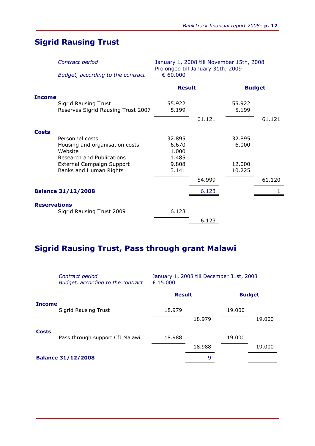#### Sigrid Rausing Trust

Contract period January 1, 2008 till November 15th, 2008 Prolonged till January 31th, 2009

Budget, according to the contract

|                                                                                    | <b>Result</b>           |        | <b>Budget</b>    |        |
|------------------------------------------------------------------------------------|-------------------------|--------|------------------|--------|
| <b>Income</b><br><b>Sigrid Rausing Trust</b><br>Reserves Sigrid Rausing Trust 2007 | 55.922<br>5.199         |        | 55.922<br>5.199  |        |
|                                                                                    |                         | 61.121 |                  | 61.121 |
| <b>Costs</b><br>Personnel costs                                                    | 32.895                  |        | 32.895           |        |
| Housing and organisation costs<br>Website                                          | 6.670<br>1.000          |        | 6.000            |        |
| Research and Publications<br>External Campaign Support<br>Banks and Human Rights   | 1.485<br>9.808<br>3.141 |        | 12.000<br>10.225 |        |
|                                                                                    |                         | 54.999 |                  | 61.120 |
| <b>Balance 31/12/2008</b>                                                          |                         | 6.123  |                  |        |
| <b>Reservations</b><br>Sigrid Rausing Trust 2009                                   | 6.123                   |        |                  |        |
|                                                                                    |                         | 6.123  |                  |        |

#### Sigrid Rausing Trust, Pass through grant Malawi

|               | Contract period<br>Budget, according to the contract | January 1, 2008 till December 31st, 2008<br>£15.000 |        |               |        |
|---------------|------------------------------------------------------|-----------------------------------------------------|--------|---------------|--------|
|               |                                                      | <b>Result</b>                                       |        | <b>Budget</b> |        |
| <b>Income</b> | <b>Sigrid Rausing Trust</b>                          | 18.979                                              | 18.979 | 19.000        | 19.000 |
| <b>Costs</b>  | Pass through support CfJ Malawi                      | 18,988                                              | 18.988 | 19.000        | 19.000 |
|               | <b>Balance 31/12/2008</b>                            |                                                     | 9-     |               |        |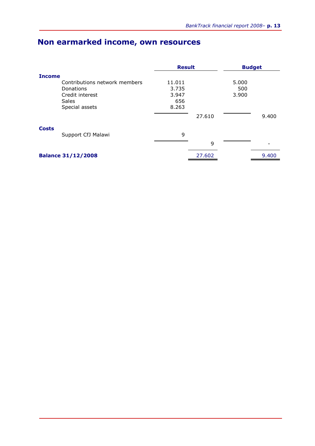### Non earmarked income, own resources

|                               |        | <b>Result</b> |       | <b>Budget</b> |  |
|-------------------------------|--------|---------------|-------|---------------|--|
| <b>Income</b>                 |        |               |       |               |  |
| Contributions network members | 11.011 |               | 5.000 |               |  |
| Donations                     | 3.735  |               | 500   |               |  |
| Credit interest               | 3.947  |               | 3.900 |               |  |
| <b>Sales</b>                  | 656    |               |       |               |  |
| Special assets                | 8.263  |               |       |               |  |
|                               |        | 27.610        |       | 9.400         |  |
| <b>Costs</b>                  |        |               |       |               |  |
| Support CfJ Malawi            | 9      |               |       |               |  |
|                               |        | 9             |       |               |  |
| <b>Balance 31/12/2008</b>     |        | 27.602        |       | 9.400         |  |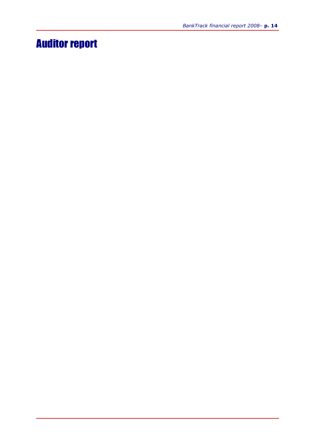### Auditor report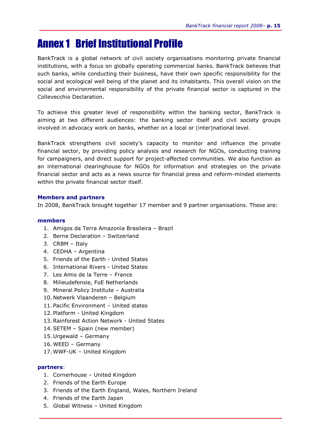### Annex 1 Brief Institutional Profile

BankTrack is a global network of civil society organisations monitoring private financial institutions, with a focus on globally operating commercial banks. BankTrack believes that such banks, while conducting their business, have their own specific responsibility for the social and ecological well being of the planet and its inhabitants. This overall vision on the social and environmental responsibility of the private financial sector is captured in the Collevecchio Declaration.

To achieve this greater level of responsibility within the banking sector, BankTrack is aiming at two different audiences: the banking sector itself and civil society groups involved in advocacy work on banks, whether on a local or (inter)national level.

BankTrack strengthens civil society's capacity to monitor and influence the private financial sector, by providing policy analysis and research for NGOs, conducting training for campaigners, and direct support for project-affected communities. We also function as an international clearinghouse for NGOs for information and strategies on the private financial sector and acts as a news source for financial press and reform-minded elements within the private financial sector itself.

#### Members and partners

In 2008, BankTrack brought together 17 member and 9 partner organisations. These are:

#### members

- 1. Amigos da Terra Amazonia Brasileira Brazil
- 2. Berne Declaration Switzerland
- 3. CRBM Italy
- 4. CEDHA Argentina
- 5. Friends of the Earth United States
- 6. International Rivers United States
- 7. Les Amis de la Terre France
- 8. Milieudefensie, FoE Netherlands
- 9. Mineral Policy Institute Australia
- 10. Netwerk Vlaanderen Belgium
- 11. Pacific Environment United states
- 12. Platform United Kingdom
- 13.Rainforest Action Network United States
- 14.SETEM Spain (new member)
- 15. Urgewald Germany
- 16. WEED Germany
- 17. WWF-UK United Kingdom

#### partners:

- 1. Cornerhouse United Kingdom
- 2. Friends of the Earth Europe
- 3. Friends of the Earth England, Wales, Northern Ireland
- 4. Friends of the Earth Japan
- 5. Global Witness United Kingdom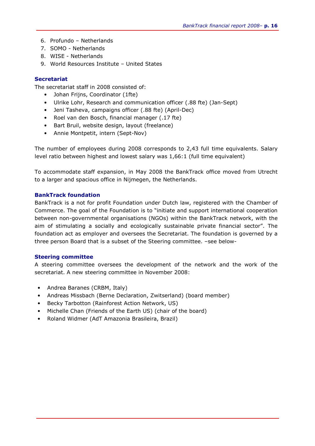- 6. Profundo Netherlands
- 7. SOMO Netherlands
- 8. WISE Netherlands
- 9. World Resources Institute United States

#### Secretariat

The secretariat staff in 2008 consisted of:

- Johan Frijns, Coordinator (1fte)
- Ulrike Lohr, Research and communication officer (.88 fte) (Jan-Sept)
- Jeni Tasheva, campaigns officer (.88 fte) (April-Dec)
- Roel van den Bosch, financial manager (.17 fte)
- Bart Bruil, website design, layout (freelance)
- Annie Montpetit, intern (Sept-Nov)

The number of employees during 2008 corresponds to 2,43 full time equivalents. Salary level ratio between highest and lowest salary was 1,66:1 (full time equivalent)

To accommodate staff expansion, in May 2008 the BankTrack office moved from Utrecht to a larger and spacious office in Nijmegen, the Netherlands.

#### BankTrack foundation

BankTrack is a not for profit Foundation under Dutch law, registered with the Chamber of Commerce. The goal of the Foundation is to "initiate and support international cooperation between non-governmental organisations (NGOs) within the BankTrack network, with the aim of stimulating a socially and ecologically sustainable private financial sector". The foundation act as employer and oversees the Secretariat. The foundation is governed by a three person Board that is a subset of the Steering committee. –see below-

#### Steering committee

A steering committee oversees the development of the network and the work of the secretariat. A new steering committee in November 2008:

- Andrea Baranes (CRBM, Italy)
- Andreas Missbach (Berne Declaration, Zwitserland) (board member)
- Becky Tarbotton (Rainforest Action Network, US)
- Michelle Chan (Friends of the Earth US) (chair of the board)
- Roland Widmer (AdT Amazonia Brasileira, Brazil)